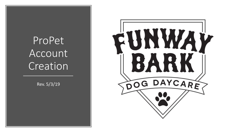# ProPet Account Creation

Rev. 5/3/19

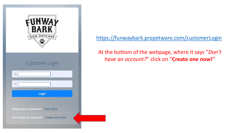

<https://funwaybark.propetware.com/customerLogin>

At the bottom of the webpage, where it says "*Don't have an account?*" click on "**Create one now!**"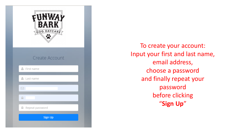

To create your account: Input your first and last name, email address, choose a password and finally repeat your password before clicking "**Sign Up**"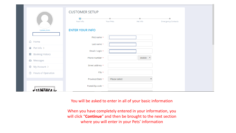| Update photo                         | <b>CUSTOMER SETUP</b><br>$\bullet$<br>Your Info<br><b>ENTER YOUR INFO</b> | Your Pets<br>Vet Info | <b>Emergency Contacts</b> |
|--------------------------------------|---------------------------------------------------------------------------|-----------------------|---------------------------|
|                                      | First name *                                                              |                       |                           |
| d Home                               | Last name *                                                               |                       |                           |
| ☆ Pet Info >                         | Email / Login *                                                           |                       |                           |
| <b>Booking History</b><br>$\equiv$   |                                                                           |                       |                           |
| A Messages                           | Phone number *                                                            | Mobile v              |                           |
| ◎ My Account >                       | Street address *                                                          |                       |                           |
| <b>Hours of Operation</b><br>$\odot$ | City *                                                                    |                       |                           |
|                                      | Province/State *                                                          | Please select         |                           |
| <b>FIINWAL</b>                       | Postal/Zip code *                                                         |                       |                           |

You will be asked to enter in all of your basic information

When you have completely entered in your information, you will click "**Continue**" and then be brought to the next section where you will enter in your Pets' information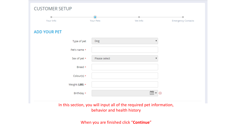| <b>CUSTOMER SETUP</b> |               |                                                                         |                           |
|-----------------------|---------------|-------------------------------------------------------------------------|---------------------------|
|                       | О             |                                                                         |                           |
| Your Info             | Your Pets     | Vet Info                                                                | <b>Emergency Contacts</b> |
| <b>ADD YOUR PET</b>   |               |                                                                         |                           |
| Type of pet           | Dog           | $\overline{\phantom{a}}$                                                |                           |
| Pet's name *          |               |                                                                         |                           |
| Sex of pet *          | Please select |                                                                         |                           |
| Breed *               |               |                                                                         |                           |
| Colour(s) *           |               |                                                                         |                           |
| Weight (LBS) $\star$  |               |                                                                         |                           |
| Birthday *            |               | $\frac{\partial m \partial \rho}{\partial \Omega}$<br>$\bullet$ $\circ$ |                           |
|                       |               |                                                                         |                           |

In this section, you will input all of the required pet information, behavior and health history

When you are finished click "**Continue**"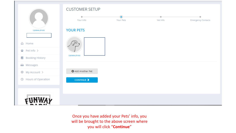|                                      | <b>CUSTOMER SETUP</b>    |                        |          |                           |
|--------------------------------------|--------------------------|------------------------|----------|---------------------------|
|                                      | Your Info                | $\bullet$<br>Your Pets | Vet Info | <b>Emergency Contacts</b> |
| Update photo                         | <b>YOUR PETS</b>         |                        |          |                           |
| d Home                               |                          |                        |          |                           |
| 상 Pet Info >                         |                          |                        |          |                           |
| <b>Booking History</b><br>$\equiv$   | Update photo             |                        |          |                           |
| A Messages                           |                          |                        |          |                           |
| ◎ My Account >                       | <b>O</b> Add Another Pet |                        |          |                           |
| <b>Hours of Operation</b><br>$\odot$ | CONTINUE >               |                        |          |                           |
|                                      |                          |                        |          |                           |
|                                      |                          |                        |          |                           |

Once you have added your Pets' info, you will be brought to the above screen where you will click "**Continue**"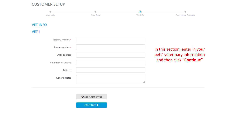## **CUSTOMER SETUP**

| Your Info           | <b>Your Pets</b> | О<br>Vet Info | <b>Emergency Contacts</b>      |
|---------------------|------------------|---------------|--------------------------------|
| <b>VET INFO</b>     |                  |               |                                |
| VET <sub>1</sub>    |                  |               |                                |
| Veterinary clinic * |                  |               |                                |
| Phone number *      |                  |               | In this section, enter in your |
| Email address       |                  |               | pets' veterinary information   |
| Veterinarian's name |                  |               | and then click "Continue"      |
| Address             |                  |               |                                |
| General Notes       |                  |               |                                |
|                     |                  |               |                                |

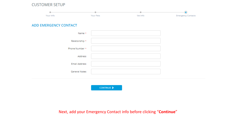**CUSTOMER SETUP** 

| Your Info                    | Your Pets | Vet Info | ⋒<br><b>Emergency Contacts</b> |
|------------------------------|-----------|----------|--------------------------------|
| <b>ADD EMERGENCY CONTACT</b> |           |          |                                |
| Name *                       |           |          |                                |
| Relationship *               |           |          |                                |
| Phone Number *               |           |          |                                |
| Address                      |           |          |                                |
| Email Address                |           |          |                                |
| <b>General Notes</b>         |           |          |                                |
|                              |           |          |                                |

CONTINUE  $\blacktriangleright$ 

# Next, add your Emergency Contact info before clicking "**Continue**"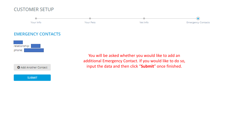# **CUSTOMER SETUP**

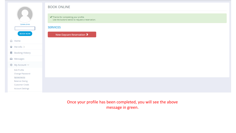| Update photo<br><b>BOOK NOW</b> |
|---------------------------------|
| d Home                          |
| 쌀 Pet Info >                    |
| Booking History                 |
| A Messages                      |
| @ි My Account                   |

### **BOOK ONLINE**

Thanks for completing your profile. Use the buttons below to request a reservation.

#### **SERVICES**

New Daycare Reservation ◆

**Account Settings** 

**Edit Profile** Change Password **Agreements Balance Owing Customer Credit** 

# Once your profile has been completed, you will see the above message in green.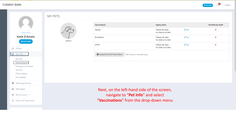**FUNWAY BARK** 



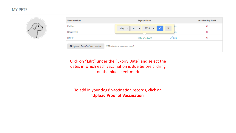## **MY PETS**



| Vaccination                                                | <b>Expiry Date</b>                                                       |                     | <b>Verified by Staff</b> |
|------------------------------------------------------------|--------------------------------------------------------------------------|---------------------|--------------------------|
| Rabies                                                     | $4$ $\bullet$ 2020 $\bullet$ $\bullet$<br>May<br>$\overline{\mathbf{v}}$ | dit<br>$\mathbf{x}$ | ×                        |
| Bordetella                                                 |                                                                          |                     | ×                        |
| <b>DHPP</b>                                                | May 04, 2020                                                             | $\mathscr O$ Edit   | ×                        |
| O Upload Proof of Vaccination (PDF, photo or scanned copy) |                                                                          |                     |                          |

Click on "**Edit**" under the "Expiry Date" and select the dates in which each vaccination is due before clicking on the blue check mark

To add in your dogs' vaccination records, click on "**Upload Proof of Vaccination**"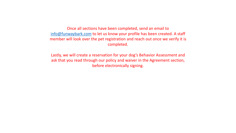Once all sections have been completed, send an email to [info@funwaybark.com](mailto:info@funwaybark.com) to let us know your profile has been created. A staff member will look over the pet registration and reach out once we verify it is completed.

Lastly, we will create a reservation for your dog's Behavior Assessment and ask that you read through our policy and waiver in the Agreement section, before electronically signing.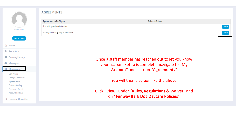

**AGREEMENTS** 

**Agreement to Be Signed** 

**Dulge Degulations 9. Waiver** 

| Update photo             | nuics, neguiduoris ex maner                         |  |
|--------------------------|-----------------------------------------------------|--|
|                          | Funway Bark Dog Daycare Policies                    |  |
| <b>BOOK NOW</b>          |                                                     |  |
| d Home                   |                                                     |  |
| ☆ Pet Info >             |                                                     |  |
| <b>图</b> Booking History | Once a staff member has reached out to let you know |  |
| Messages                 | your account setup is complete, navigate to "My     |  |
| @ My Account ∨           | Account" and click on "Agreements"                  |  |
| <b>Edit Profile</b>      |                                                     |  |
| Change Password          |                                                     |  |

You will then a screen like the above

**Related Orders** 

View

View

Click "**View**" under "**Rules, Regulations & Waiver**" and on "**Funway Bark Dog Daycare Policies**"

<sup>(</sup>
O Hours of Operation

Agreements **Balance Owing Customer Credit Account Settings**